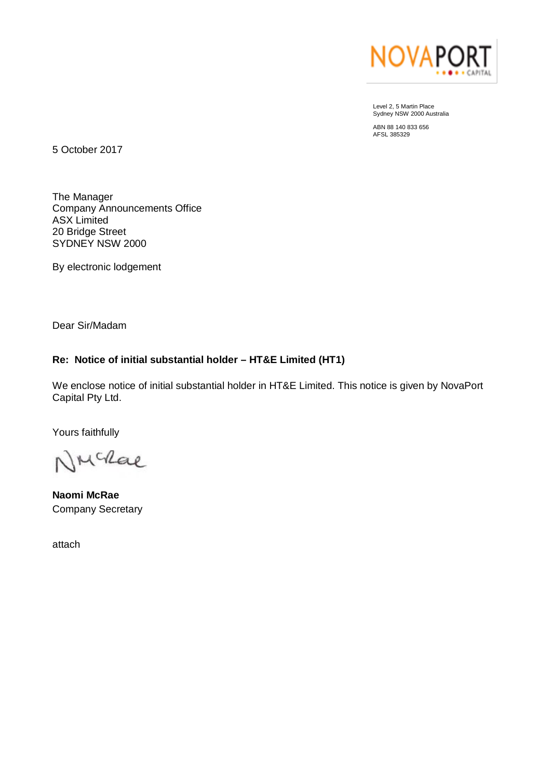

Level 2, 5 Martin Place Sydney NSW 2000 Australia

ABN 88 140 833 656 AFSL 385329

5 October 2017

The Manager Company Announcements Office ASX Limited 20 Bridge Street SYDNEY NSW 2000

By electronic lodgement

Dear Sir/Madam

# **Re: Notice of initial substantial holder – HT&E Limited (HT1)**

We enclose notice of initial substantial holder in HT&E Limited. This notice is given by NovaPort Capital Pty Ltd.

Yours faithfully

NMcRae

**Naomi McRae** Company Secretary

attach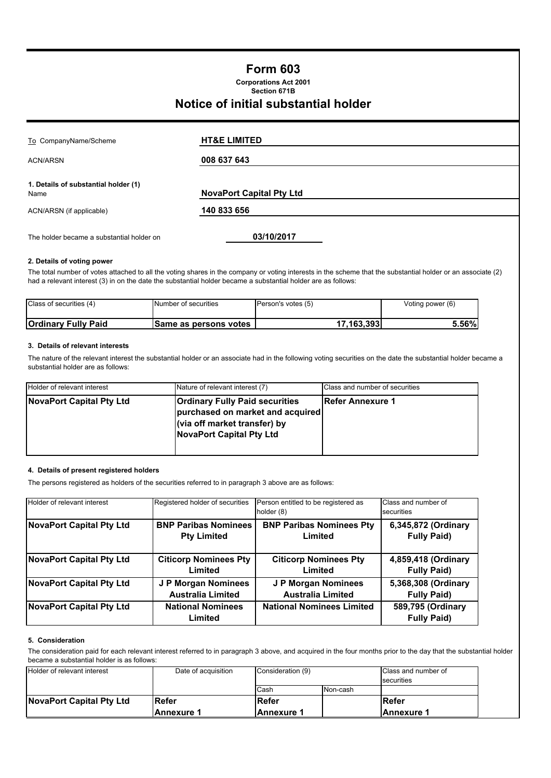## **Form 603**

**Section 671B Corporations Act 2001**

# **Notice of initial substantial holder**

| To CompanyName/Scheme                        | <b>HT&amp;E LIMITED</b>         |  |
|----------------------------------------------|---------------------------------|--|
| <b>ACN/ARSN</b>                              | 008 637 643                     |  |
| 1. Details of substantial holder (1)<br>Name | <b>NovaPort Capital Pty Ltd</b> |  |
| ACN/ARSN (if applicable)                     | 140 833 656                     |  |
| The holder became a substantial holder on    | 03/10/2017                      |  |

#### **2. Details of voting power**

The total number of votes attached to all the voting shares in the company or voting interests in the scheme that the substantial holder or an associate (2) had a relevant interest (3) in on the date the substantial holder became a substantial holder are as follows:

| Class of securities (4)    | Number of securities         | Person's votes (5) | Voting power (6) |  |
|----------------------------|------------------------------|--------------------|------------------|--|
| <b>Ordinary Fully Paid</b> | <b>Same as persons votes</b> | 17.163.393।        | 5.56%            |  |

#### **3. Details of relevant interests**

The nature of the relevant interest the substantial holder or an associate had in the following voting securities on the date the substantial holder became a substantial holder are as follows:

| Holder of relevant interest | Nature of relevant interest (7)                                                                                                              | Class and number of securities |
|-----------------------------|----------------------------------------------------------------------------------------------------------------------------------------------|--------------------------------|
| NovaPort Capital Pty Ltd    | <b>Ordinary Fully Paid securities</b><br>purchased on market and acquired<br>(via off market transfer) by<br><b>NovaPort Capital Pty Ltd</b> | <b>Refer Annexure 1</b>        |

#### **4. Details of present registered holders**

The persons registered as holders of the securities referred to in paragraph 3 above are as follows:

| Holder of relevant interest     | Registered holder of securities     | Person entitled to be registered as<br>holder (8) | Class and number of<br>securities       |  |
|---------------------------------|-------------------------------------|---------------------------------------------------|-----------------------------------------|--|
| <b>NovaPort Capital Pty Ltd</b> | <b>BNP Paribas Nominees</b>         | <b>BNP Paribas Nominees Pty</b>                   | 6,345,872 (Ordinary                     |  |
|                                 | <b>Pty Limited</b>                  | Limited                                           | <b>Fully Paid)</b>                      |  |
| <b>NovaPort Capital Pty Ltd</b> | <b>Citicorp Nominees Pty</b>        | <b>Citicorp Nominees Pty</b>                      | 4,859,418 (Ordinary                     |  |
|                                 | Limited                             | Limited                                           | <b>Fully Paid)</b>                      |  |
| <b>NovaPort Capital Pty Ltd</b> | J P Morgan Nominees                 | J P Morgan Nominees                               | 5,368,308 (Ordinary                     |  |
|                                 | <b>Australia Limited</b>            | <b>Australia Limited</b>                          | <b>Fully Paid)</b>                      |  |
| <b>NovaPort Capital Pty Ltd</b> | <b>National Nominees</b><br>Limited | <b>National Nominees Limited</b>                  | 589,795 (Ordinary<br><b>Fully Paid)</b> |  |

#### **5. Consideration**

The consideration paid for each relevant interest referred to in paragraph 3 above, and acquired in the four months prior to the day that the substantial holder became a substantial holder is as follows:

| Holder of relevant interest     | Date of acquisition | Consideration (9) |          | Class and number of<br>securities |
|---------------------------------|---------------------|-------------------|----------|-----------------------------------|
|                                 |                     | Cash              | Non-cash |                                   |
| <b>NovaPort Capital Pty Ltd</b> | <b>IRefer</b>       | Refer             |          | <b>IRefer</b>                     |
|                                 | <b>IAnnexure 1</b>  | lAnnexure 1       |          | lAnnexure 1                       |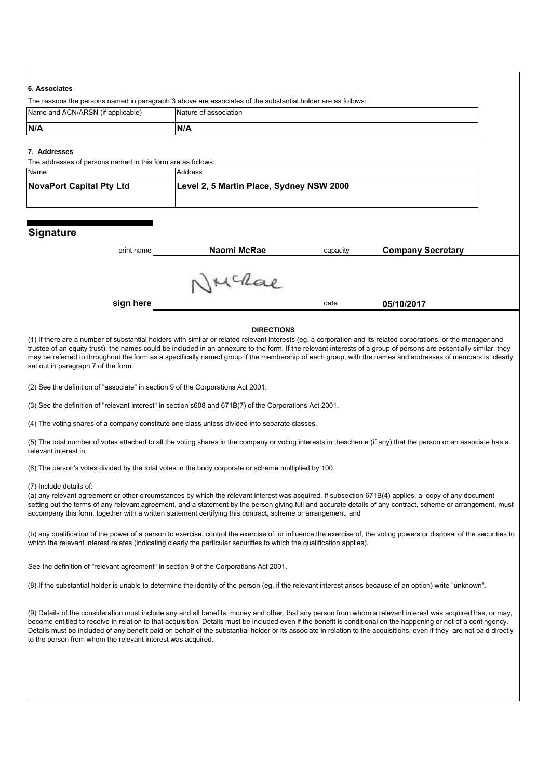#### **6. Associates**

| .                                                           |                                                                                                             |  |
|-------------------------------------------------------------|-------------------------------------------------------------------------------------------------------------|--|
|                                                             | The reasons the persons named in paragraph 3 above are associates of the substantial holder are as follows: |  |
| Name and ACN/ARSN (if applicable)                           | Nature of association                                                                                       |  |
| N/A                                                         | <b>N/A</b>                                                                                                  |  |
| 7. Addresses                                                |                                                                                                             |  |
| The addresses of persons named in this form are as follows: |                                                                                                             |  |

| <b>Name</b>              | Address                                  |
|--------------------------|------------------------------------------|
| NovaPort Capital Pty Ltd | Level 2, 5 Martin Place, Sydney NSW 2000 |
|                          |                                          |

### **Signature**

| print name | Naomi McRae | capacity | <b>Company Secretary</b> |  |
|------------|-------------|----------|--------------------------|--|
|            |             |          |                          |  |
|            |             |          |                          |  |
|            |             |          |                          |  |
| sign here  |             | date     | 05/10/2017               |  |

#### **DIRECTIONS**

(1) If there are a number of substantial holders with similar or related relevant interests (eg. a corporation and its related corporations, or the manager and trustee of an equity trust), the names could be included in an annexure to the form. If the relevant interests of a group of persons are essentially similar, they may be referred to throughout the form as a specifically named group if the membership of each group, with the names and addresses of members is clearly set out in paragraph 7 of the form.

(2) See the definition of "associate" in section 9 of the Corporations Act 2001.

(3) See the definition of "relevant interest" in section s608 and 671B(7) of the Corporations Act 2001.

(4) The voting shares of a company constitute one class unless divided into separate classes.

(5) The total number of votes attached to all the voting shares in the company or voting interests in thescheme (if any) that the person or an associate has a relevant interest in.

(6) The person's votes divided by the total votes in the body corporate or scheme multiplied by 100.

#### (7) Include details of:

(a) any relevant agreement or other circumstances by which the relevant interest was acquired. If subsection 671B(4) applies, a copy of any document setting out the terms of any relevant agreement, and a statement by the person giving full and accurate details of any contract, scheme or arrangement, must accompany this form, together with a written statement certifying this contract, scheme or arrangement; and

(b) any qualification of the power of a person to exercise, control the exercise of, or influence the exercise of, the voting powers or disposal of the securities to which the relevant interest relates (indicating clearly the particular securities to which the qualification applies).

See the definition of "relevant agreement" in section 9 of the Corporations Act 2001.

(8) If the substantial holder is unable to determine the identity of the person (eg. if the relevant interest arises because of an option) write "unknown".

(9) Details of the consideration must include any and all benefits, money and other, that any person from whom a relevant interest was acquired has, or may, become entitled to receive in relation to that acquisition. Details must be included even if the benefit is conditional on the happening or not of a contingency. Details must be included of any benefit paid on behalf of the substantial holder or its associate in relation to the acquisitions, even if they are not paid directly to the person from whom the relevant interest was acquired.